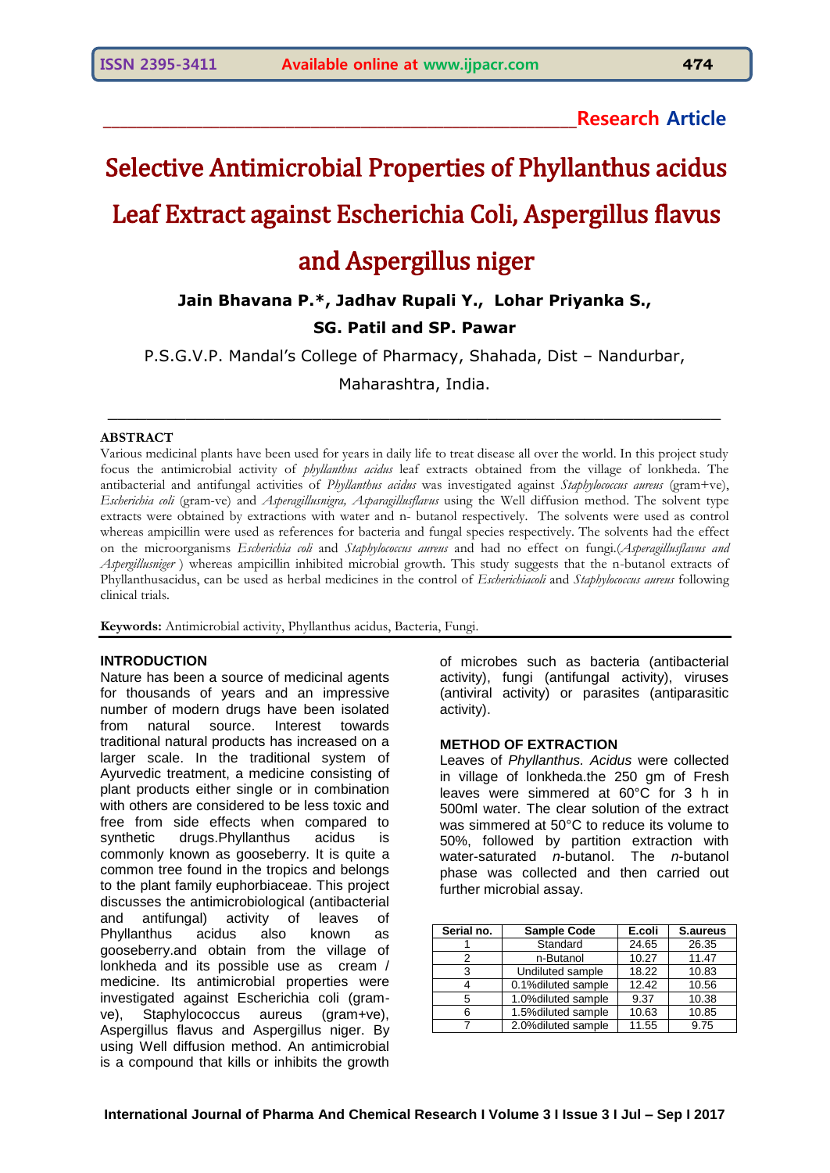# Selective Antimicrobial Properties of Phyllanthus acidus

## Leaf Extract against Escherichia Coli, Aspergillus flavus

### and Aspergillus niger

### **Jain Bhavana P.\*, Jadhav Rupali Y., Lohar Priyanka S.,**

#### **SG. Patil and SP. Pawar**

P.S.G.V.P. Mandal's College of Pharmacy, Shahada, Dist – Nandurbar,

Maharashtra, India.

\_\_\_\_\_\_\_\_\_\_\_\_\_\_\_\_\_\_\_\_\_\_\_\_\_\_\_\_\_\_\_\_\_\_\_\_\_\_\_\_\_\_\_\_\_\_\_\_\_\_\_\_\_\_\_\_\_\_\_\_\_\_\_

#### **ABSTRACT**

Various medicinal plants have been used for years in daily life to treat disease all over the world. In this project study focus the antimicrobial activity of *phyllanthus acidus* leaf extracts obtained from the village of lonkheda. The antibacterial and antifungal activities of *Phyllanthus acidus* was investigated against *Staphylococcus aureus* (gram+ve), *Escherichia coli* (gram-ve) and *Asperagillusnigra, Asparagillusflavus* using the Well diffusion method. The solvent type extracts were obtained by extractions with water and n- butanol respectively. The solvents were used as control whereas ampicillin were used as references for bacteria and fungal species respectively. The solvents had the effect on the microorganisms *Escherichia coli* and *Staphylococcus aureus* and had no effect on fungi.(*Asperagillusflavus and Aspergillusniger* ) whereas ampicillin inhibited microbial growth. This study suggests that the n-butanol extracts of Phyllanthusacidus, can be used as herbal medicines in the control of *Escherichiacoli* and *Staphylococcus aureus* following clinical trials.

**Keywords:** Antimicrobial activity, Phyllanthus acidus, Bacteria, Fungi.

#### **INTRODUCTION**

Nature has been a source of medicinal agents for thousands of years and an impressive number of modern drugs have been isolated from natural source. Interest towards traditional natural products has increased on a larger scale. In the traditional system of Ayurvedic treatment, a medicine consisting of plant products either single or in combination with others are considered to be less toxic and free from side effects when compared to synthetic drugs.Phyllanthus acidus is commonly known as gooseberry. It is quite a common tree found in the tropics and belongs to the plant family euphorbiaceae. This project discusses the antimicrobiological (antibacterial and antifungal) activity of leaves of Phyllanthus acidus also known as gooseberry.and obtain from the village of lonkheda and its possible use as cream / medicine. Its antimicrobial properties were investigated against Escherichia coli (gramve), Staphylococcus aureus (gram+ve), Aspergillus flavus and Aspergillus niger. By using Well diffusion method. An antimicrobial is a compound that kills or inhibits the growth

of microbes such as bacteria (antibacterial activity), fungi (antifungal activity), viruses (antiviral activity) or parasites (antiparasitic activity).

#### **METHOD OF EXTRACTION**

Leaves of *Phyllanthus. Acidus* were collected in village of lonkheda.the 250 gm of Fresh leaves were simmered at 60°C for 3 h in 500ml water. The clear solution of the extract was simmered at 50°C to reduce its volume to 50%, followed by partition extraction with water-saturated *n*-butanol. The *n*-butanol phase was collected and then carried out further microbial assay.

| Serial no. | <b>Sample Code</b>  | E.coli | S.aureus |
|------------|---------------------|--------|----------|
|            | Standard            | 24.65  | 26.35    |
| 2          | n-Butanol           | 10.27  | 11.47    |
| З          | Undiluted sample    | 18.22  | 10.83    |
|            | 0.1% diluted sample | 12.42  | 10.56    |
| 5          | 1.0% diluted sample | 9.37   | 10.38    |
| 6          | 1.5% diluted sample | 10.63  | 10.85    |
|            | 2.0% diluted sample | 11.55  | 9.75     |